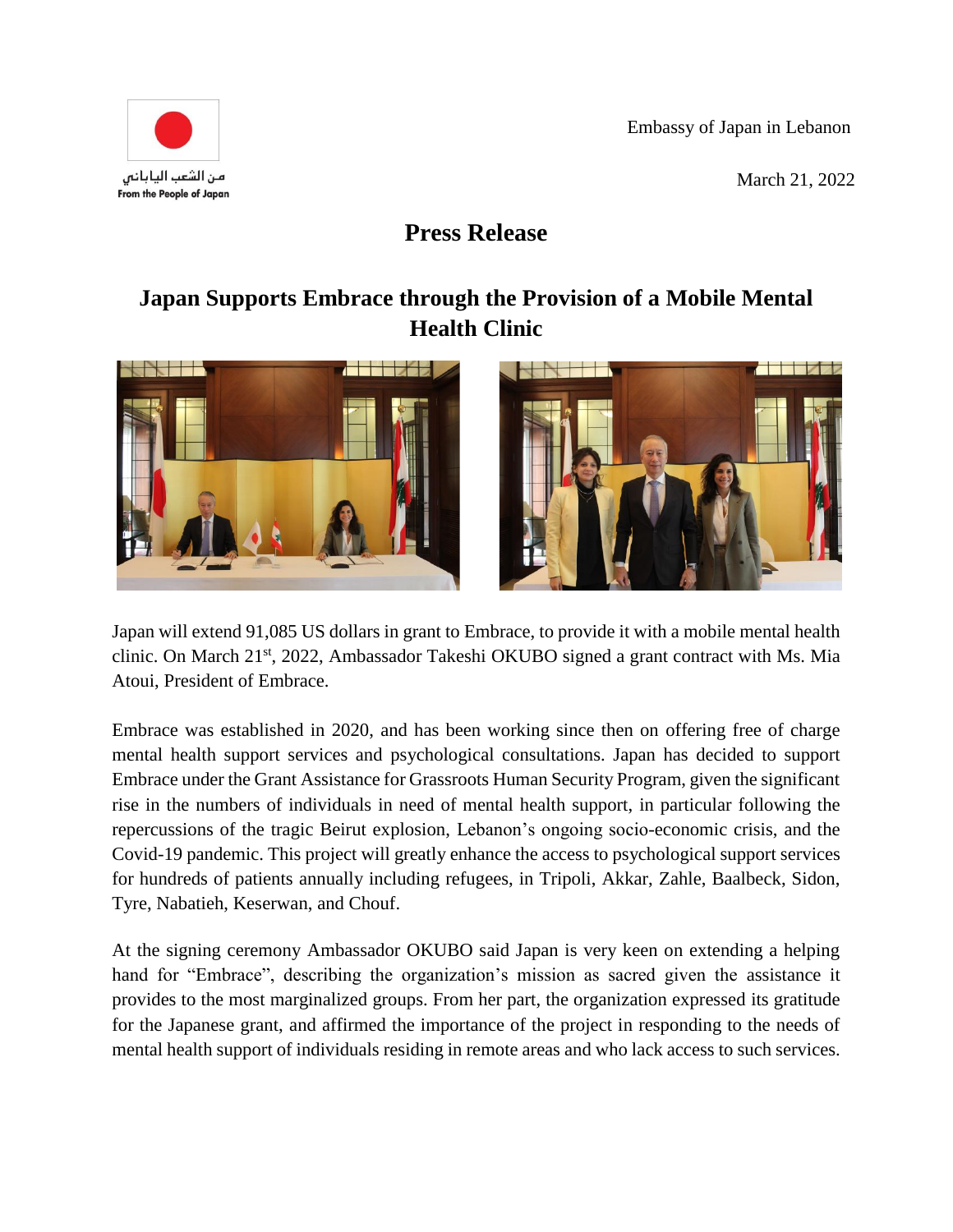Embassy of Japan in Lebanon

March 21, 2022



## **Press Release**

## **Japan Supports Embrace through the Provision of a Mobile Mental Health Clinic**





Japan will extend 91,085 US dollars in grant to Embrace, to provide it with a mobile mental health clinic. On March 21st, 2022, Ambassador Takeshi OKUBO signed a grant contract with Ms. Mia Atoui, President of Embrace.

Embrace was established in 2020, and has been working since then on offering free of charge mental health support services and psychological consultations. Japan has decided to support Embrace under the Grant Assistance for Grassroots Human Security Program, given the significant rise in the numbers of individuals in need of mental health support, in particular following the repercussions of the tragic Beirut explosion, Lebanon's ongoing socio-economic crisis, and the Covid-19 pandemic. This project will greatly enhance the access to psychological support services for hundreds of patients annually including refugees, in Tripoli, Akkar, Zahle, Baalbeck, Sidon, Tyre, Nabatieh, Keserwan, and Chouf.

At the signing ceremony Ambassador OKUBO said Japan is very keen on extending a helping hand for "Embrace", describing the organization's mission as sacred given the assistance it provides to the most marginalized groups. From her part, the organization expressed its gratitude for the Japanese grant, and affirmed the importance of the project in responding to the needs of mental health support of individuals residing in remote areas and who lack access to such services.